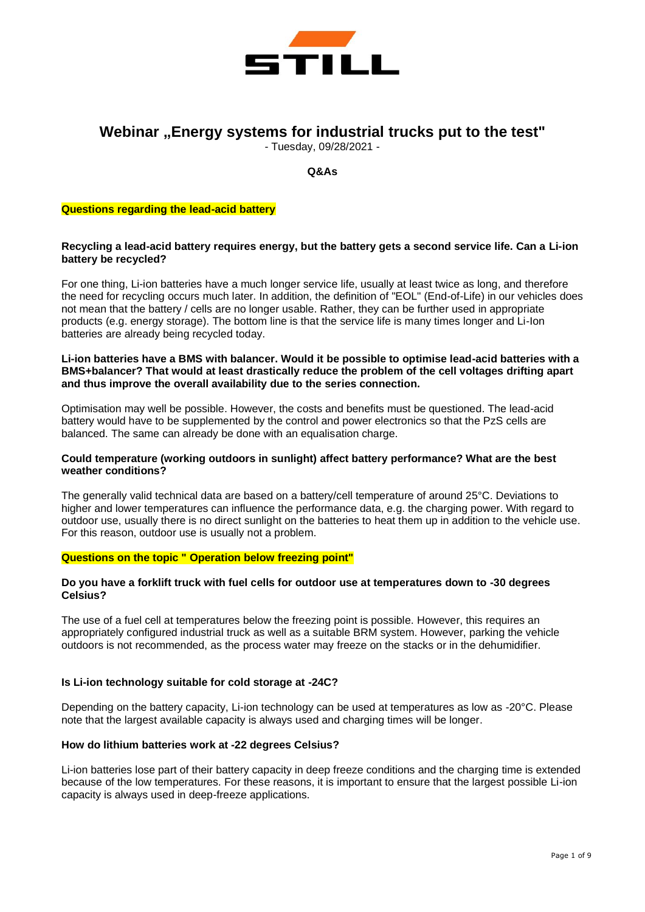

# **Webinar "Energy systems for industrial trucks put to the test"**

- Tuesday, 09/28/2021 -

**Q&As**

#### **Questions regarding the lead-acid battery**

## **Recycling a lead-acid battery requires energy, but the battery gets a second service life. Can a Li-ion battery be recycled?**

For one thing, Li-ion batteries have a much longer service life, usually at least twice as long, and therefore the need for recycling occurs much later. In addition, the definition of "EOL" (End-of-Life) in our vehicles does not mean that the battery / cells are no longer usable. Rather, they can be further used in appropriate products (e.g. energy storage). The bottom line is that the service life is many times longer and Li-Ion batteries are already being recycled today.

#### **Li-ion batteries have a BMS with balancer. Would it be possible to optimise lead-acid batteries with a BMS+balancer? That would at least drastically reduce the problem of the cell voltages drifting apart and thus improve the overall availability due to the series connection.**

Optimisation may well be possible. However, the costs and benefits must be questioned. The lead-acid battery would have to be supplemented by the control and power electronics so that the PzS cells are balanced. The same can already be done with an equalisation charge.

## **Could temperature (working outdoors in sunlight) affect battery performance? What are the best weather conditions?**

The generally valid technical data are based on a battery/cell temperature of around 25°C. Deviations to higher and lower temperatures can influence the performance data, e.g. the charging power. With regard to outdoor use, usually there is no direct sunlight on the batteries to heat them up in addition to the vehicle use. For this reason, outdoor use is usually not a problem.

# **Questions on the topic " Operation below freezing point"**

## **Do you have a forklift truck with fuel cells for outdoor use at temperatures down to -30 degrees Celsius?**

The use of a fuel cell at temperatures below the freezing point is possible. However, this requires an appropriately configured industrial truck as well as a suitable BRM system. However, parking the vehicle outdoors is not recommended, as the process water may freeze on the stacks or in the dehumidifier.

# **Is Li-ion technology suitable for cold storage at -24C?**

Depending on the battery capacity, Li-ion technology can be used at temperatures as low as -20°C. Please note that the largest available capacity is always used and charging times will be longer.

#### **How do lithium batteries work at -22 degrees Celsius?**

Li-ion batteries lose part of their battery capacity in deep freeze conditions and the charging time is extended because of the low temperatures. For these reasons, it is important to ensure that the largest possible Li-ion capacity is always used in deep-freeze applications.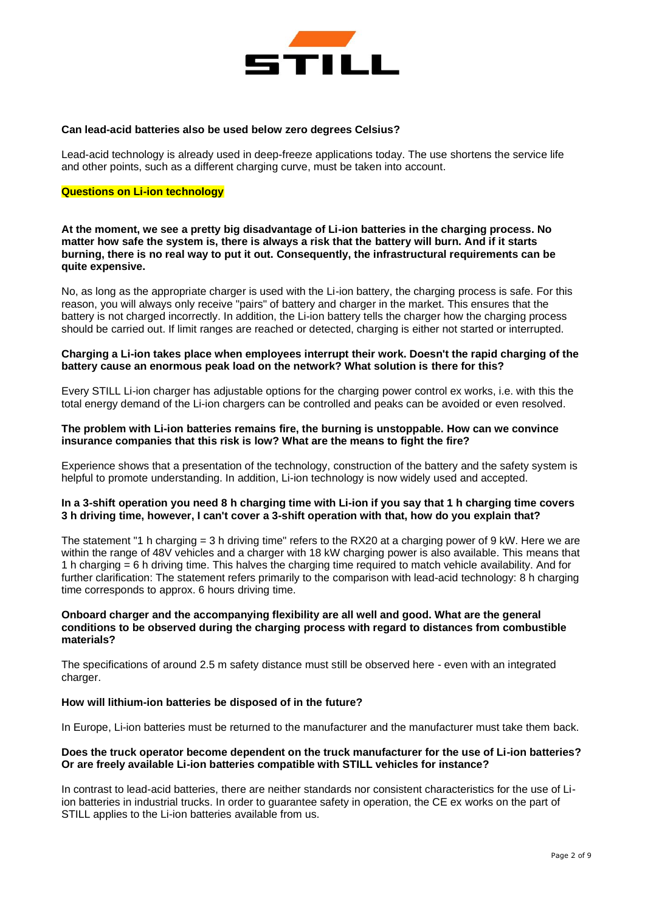

#### **Can lead-acid batteries also be used below zero degrees Celsius?**

Lead-acid technology is already used in deep-freeze applications today. The use shortens the service life and other points, such as a different charging curve, must be taken into account.

# **Questions on Li-ion technology**

**At the moment, we see a pretty big disadvantage of Li-ion batteries in the charging process. No matter how safe the system is, there is always a risk that the battery will burn. And if it starts burning, there is no real way to put it out. Consequently, the infrastructural requirements can be quite expensive.**

No, as long as the appropriate charger is used with the Li-ion battery, the charging process is safe. For this reason, you will always only receive "pairs" of battery and charger in the market. This ensures that the battery is not charged incorrectly. In addition, the Li-ion battery tells the charger how the charging process should be carried out. If limit ranges are reached or detected, charging is either not started or interrupted.

# **Charging a Li-ion takes place when employees interrupt their work. Doesn't the rapid charging of the battery cause an enormous peak load on the network? What solution is there for this?**

Every STILL Li-ion charger has adjustable options for the charging power control ex works, i.e. with this the total energy demand of the Li-ion chargers can be controlled and peaks can be avoided or even resolved.

## **The problem with Li-ion batteries remains fire, the burning is unstoppable. How can we convince insurance companies that this risk is low? What are the means to fight the fire?**

Experience shows that a presentation of the technology, construction of the battery and the safety system is helpful to promote understanding. In addition, Li-ion technology is now widely used and accepted.

# **In a 3-shift operation you need 8 h charging time with Li-ion if you say that 1 h charging time covers 3 h driving time, however, I can't cover a 3-shift operation with that, how do you explain that?**

The statement "1 h charging = 3 h driving time" refers to the RX20 at a charging power of 9 kW. Here we are within the range of 48V vehicles and a charger with 18 kW charging power is also available. This means that 1 h charging = 6 h driving time. This halves the charging time required to match vehicle availability. And for further clarification: The statement refers primarily to the comparison with lead-acid technology: 8 h charging time corresponds to approx. 6 hours driving time.

## **Onboard charger and the accompanying flexibility are all well and good. What are the general conditions to be observed during the charging process with regard to distances from combustible materials?**

The specifications of around 2.5 m safety distance must still be observed here - even with an integrated charger.

## **How will lithium-ion batteries be disposed of in the future?**

In Europe, Li-ion batteries must be returned to the manufacturer and the manufacturer must take them back.

## **Does the truck operator become dependent on the truck manufacturer for the use of Li-ion batteries? Or are freely available Li-ion batteries compatible with STILL vehicles for instance?**

In contrast to lead-acid batteries, there are neither standards nor consistent characteristics for the use of Liion batteries in industrial trucks. In order to guarantee safety in operation, the CE ex works on the part of STILL applies to the Li-ion batteries available from us.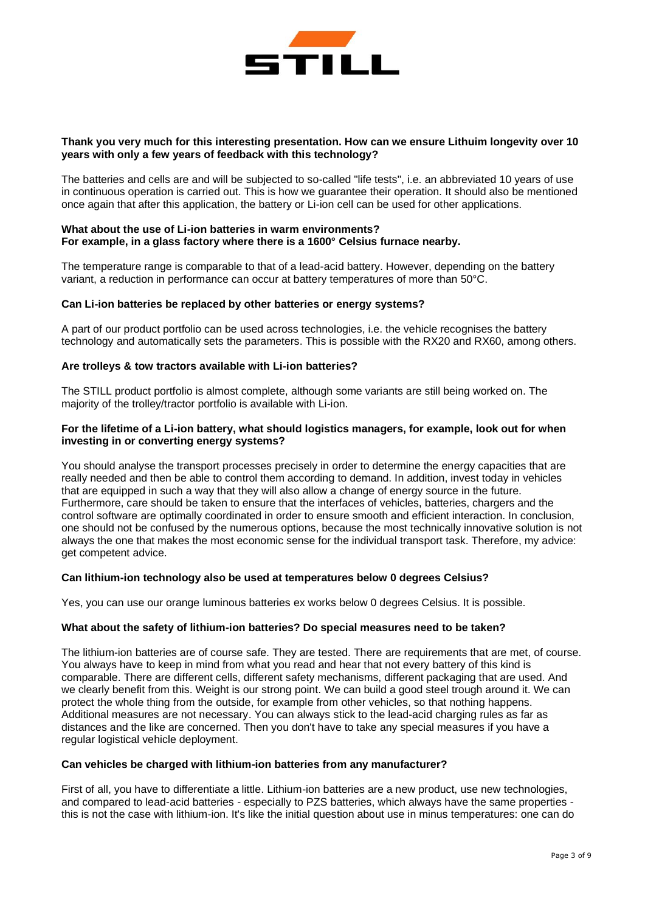

## **Thank you very much for this interesting presentation. How can we ensure Lithuim longevity over 10 years with only a few years of feedback with this technology?**

The batteries and cells are and will be subjected to so-called "life tests", i.e. an abbreviated 10 years of use in continuous operation is carried out. This is how we guarantee their operation. It should also be mentioned once again that after this application, the battery or Li-ion cell can be used for other applications.

#### **What about the use of Li-ion batteries in warm environments? For example, in a glass factory where there is a 1600° Celsius furnace nearby.**

The temperature range is comparable to that of a lead-acid battery. However, depending on the battery variant, a reduction in performance can occur at battery temperatures of more than 50°C.

#### **Can Li-ion batteries be replaced by other batteries or energy systems?**

A part of our product portfolio can be used across technologies, i.e. the vehicle recognises the battery technology and automatically sets the parameters. This is possible with the RX20 and RX60, among others.

#### **Are trolleys & tow tractors available with Li-ion batteries?**

The STILL product portfolio is almost complete, although some variants are still being worked on. The majority of the trolley/tractor portfolio is available with Li-ion.

#### **For the lifetime of a Li-ion battery, what should logistics managers, for example, look out for when investing in or converting energy systems?**

You should analyse the transport processes precisely in order to determine the energy capacities that are really needed and then be able to control them according to demand. In addition, invest today in vehicles that are equipped in such a way that they will also allow a change of energy source in the future. Furthermore, care should be taken to ensure that the interfaces of vehicles, batteries, chargers and the control software are optimally coordinated in order to ensure smooth and efficient interaction. In conclusion, one should not be confused by the numerous options, because the most technically innovative solution is not always the one that makes the most economic sense for the individual transport task. Therefore, my advice: get competent advice.

#### **Can lithium-ion technology also be used at temperatures below 0 degrees Celsius?**

Yes, you can use our orange luminous batteries ex works below 0 degrees Celsius. It is possible.

#### **What about the safety of lithium-ion batteries? Do special measures need to be taken?**

The lithium-ion batteries are of course safe. They are tested. There are requirements that are met, of course. You always have to keep in mind from what you read and hear that not every battery of this kind is comparable. There are different cells, different safety mechanisms, different packaging that are used. And we clearly benefit from this. Weight is our strong point. We can build a good steel trough around it. We can protect the whole thing from the outside, for example from other vehicles, so that nothing happens. Additional measures are not necessary. You can always stick to the lead-acid charging rules as far as distances and the like are concerned. Then you don't have to take any special measures if you have a regular logistical vehicle deployment.

#### **Can vehicles be charged with lithium-ion batteries from any manufacturer?**

First of all, you have to differentiate a little. Lithium-ion batteries are a new product, use new technologies, and compared to lead-acid batteries - especially to PZS batteries, which always have the same properties this is not the case with lithium-ion. It's like the initial question about use in minus temperatures: one can do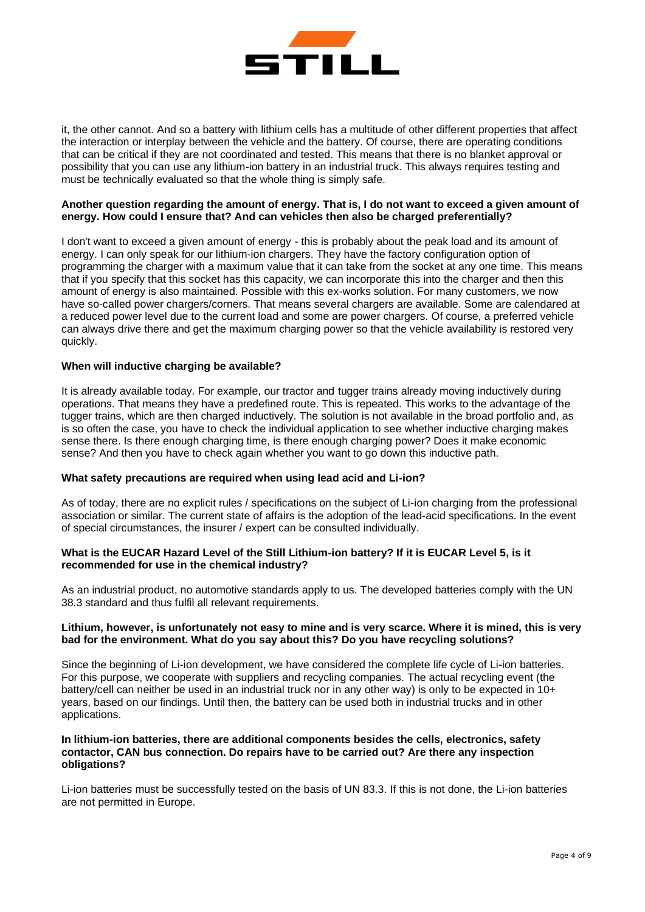

it, the other cannot. And so a battery with lithium cells has a multitude of other different properties that affect the interaction or interplay between the vehicle and the battery. Of course, there are operating conditions that can be critical if they are not coordinated and tested. This means that there is no blanket approval or possibility that you can use any lithium-ion battery in an industrial truck. This always requires testing and must be technically evaluated so that the whole thing is simply safe.

# **Another question regarding the amount of energy. That is, I do not want to exceed a given amount of energy. How could I ensure that? And can vehicles then also be charged preferentially?**

I don't want to exceed a given amount of energy - this is probably about the peak load and its amount of energy. I can only speak for our lithium-ion chargers. They have the factory configuration option of programming the charger with a maximum value that it can take from the socket at any one time. This means that if you specify that this socket has this capacity, we can incorporate this into the charger and then this amount of energy is also maintained. Possible with this ex-works solution. For many customers, we now have so-called power chargers/corners. That means several chargers are available. Some are calendared at a reduced power level due to the current load and some are power chargers. Of course, a preferred vehicle can always drive there and get the maximum charging power so that the vehicle availability is restored very quickly.

# **When will inductive charging be available?**

It is already available today. For example, our tractor and tugger trains already moving inductively during operations. That means they have a predefined route. This is repeated. This works to the advantage of the tugger trains, which are then charged inductively. The solution is not available in the broad portfolio and, as is so often the case, you have to check the individual application to see whether inductive charging makes sense there. Is there enough charging time, is there enough charging power? Does it make economic sense? And then you have to check again whether you want to go down this inductive path.

## **What safety precautions are required when using lead acid and Li-ion?**

As of today, there are no explicit rules / specifications on the subject of Li-ion charging from the professional association or similar. The current state of affairs is the adoption of the lead-acid specifications. In the event of special circumstances, the insurer / expert can be consulted individually.

# **What is the EUCAR Hazard Level of the Still Lithium-ion battery? If it is EUCAR Level 5, is it recommended for use in the chemical industry?**

As an industrial product, no automotive standards apply to us. The developed batteries comply with the UN 38.3 standard and thus fulfil all relevant requirements.

# **Lithium, however, is unfortunately not easy to mine and is very scarce. Where it is mined, this is very bad for the environment. What do you say about this? Do you have recycling solutions?**

Since the beginning of Li-ion development, we have considered the complete life cycle of Li-ion batteries. For this purpose, we cooperate with suppliers and recycling companies. The actual recycling event (the battery/cell can neither be used in an industrial truck nor in any other way) is only to be expected in 10+ years, based on our findings. Until then, the battery can be used both in industrial trucks and in other applications.

## **In lithium-ion batteries, there are additional components besides the cells, electronics, safety contactor, CAN bus connection. Do repairs have to be carried out? Are there any inspection obligations?**

Li-ion batteries must be successfully tested on the basis of UN 83.3. If this is not done, the Li-ion batteries are not permitted in Europe.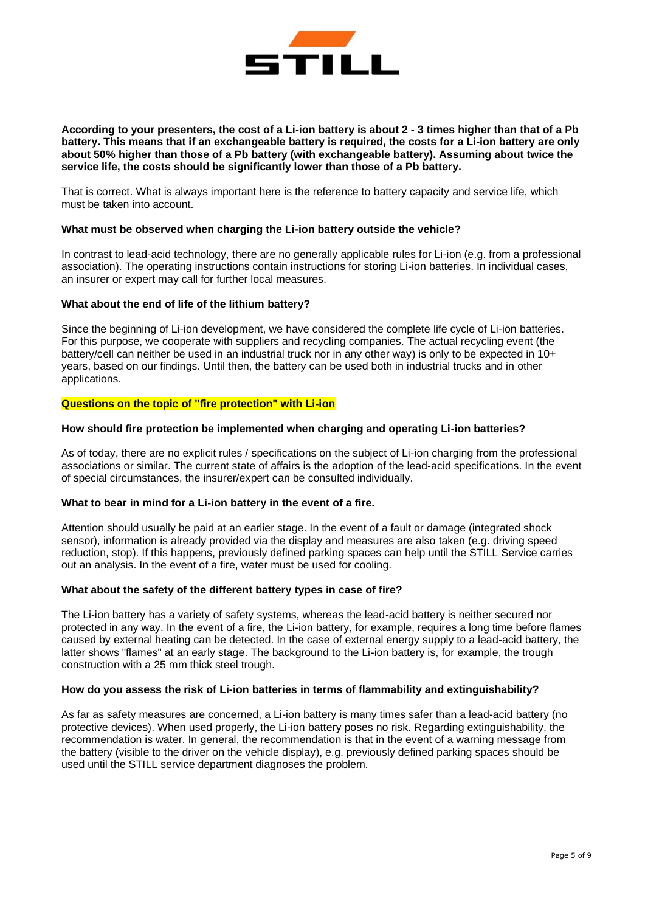

# **According to your presenters, the cost of a Li-ion battery is about 2 - 3 times higher than that of a Pb battery. This means that if an exchangeable battery is required, the costs for a Li-ion battery are only about 50% higher than those of a Pb battery (with exchangeable battery). Assuming about twice the service life, the costs should be significantly lower than those of a Pb battery.**

That is correct. What is always important here is the reference to battery capacity and service life, which must be taken into account.

#### **What must be observed when charging the Li-ion battery outside the vehicle?**

In contrast to lead-acid technology, there are no generally applicable rules for Li-ion (e.g. from a professional association). The operating instructions contain instructions for storing Li-ion batteries. In individual cases, an insurer or expert may call for further local measures.

#### **What about the end of life of the lithium battery?**

Since the beginning of Li-ion development, we have considered the complete life cycle of Li-ion batteries. For this purpose, we cooperate with suppliers and recycling companies. The actual recycling event (the battery/cell can neither be used in an industrial truck nor in any other way) is only to be expected in 10+ years, based on our findings. Until then, the battery can be used both in industrial trucks and in other applications.

#### **Questions on the topic of "fire protection" with Li-ion**

#### **How should fire protection be implemented when charging and operating Li-ion batteries?**

As of today, there are no explicit rules / specifications on the subject of Li-ion charging from the professional associations or similar. The current state of affairs is the adoption of the lead-acid specifications. In the event of special circumstances, the insurer/expert can be consulted individually.

## **What to bear in mind for a Li-ion battery in the event of a fire.**

Attention should usually be paid at an earlier stage. In the event of a fault or damage (integrated shock sensor), information is already provided via the display and measures are also taken (e.g. driving speed reduction, stop). If this happens, previously defined parking spaces can help until the STILL Service carries out an analysis. In the event of a fire, water must be used for cooling.

## **What about the safety of the different battery types in case of fire?**

The Li-ion battery has a variety of safety systems, whereas the lead-acid battery is neither secured nor protected in any way. In the event of a fire, the Li-ion battery, for example, requires a long time before flames caused by external heating can be detected. In the case of external energy supply to a lead-acid battery, the latter shows "flames" at an early stage. The background to the Li-ion battery is, for example, the trough construction with a 25 mm thick steel trough.

#### **How do you assess the risk of Li-ion batteries in terms of flammability and extinguishability?**

As far as safety measures are concerned, a Li-ion battery is many times safer than a lead-acid battery (no protective devices). When used properly, the Li-ion battery poses no risk. Regarding extinguishability, the recommendation is water. In general, the recommendation is that in the event of a warning message from the battery (visible to the driver on the vehicle display), e.g. previously defined parking spaces should be used until the STILL service department diagnoses the problem.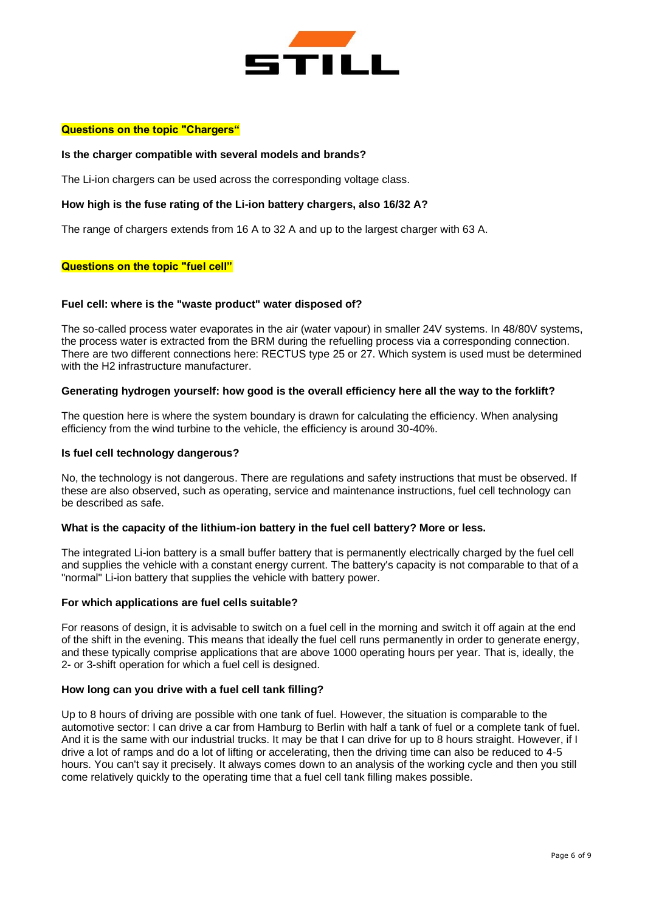

#### **Questions on the topic "Chargers"**

#### **Is the charger compatible with several models and brands?**

The Li-ion chargers can be used across the corresponding voltage class.

#### **How high is the fuse rating of the Li-ion battery chargers, also 16/32 A?**

The range of chargers extends from 16 A to 32 A and up to the largest charger with 63 A.

#### **Questions on the topic "fuel cell"**

#### **Fuel cell: where is the "waste product" water disposed of?**

The so-called process water evaporates in the air (water vapour) in smaller 24V systems. In 48/80V systems, the process water is extracted from the BRM during the refuelling process via a corresponding connection. There are two different connections here: RECTUS type 25 or 27. Which system is used must be determined with the H2 infrastructure manufacturer.

#### **Generating hydrogen yourself: how good is the overall efficiency here all the way to the forklift?**

The question here is where the system boundary is drawn for calculating the efficiency. When analysing efficiency from the wind turbine to the vehicle, the efficiency is around 30-40%.

#### **Is fuel cell technology dangerous?**

No, the technology is not dangerous. There are regulations and safety instructions that must be observed. If these are also observed, such as operating, service and maintenance instructions, fuel cell technology can be described as safe.

# **What is the capacity of the lithium-ion battery in the fuel cell battery? More or less.**

The integrated Li-ion battery is a small buffer battery that is permanently electrically charged by the fuel cell and supplies the vehicle with a constant energy current. The battery's capacity is not comparable to that of a "normal" Li-ion battery that supplies the vehicle with battery power.

#### **For which applications are fuel cells suitable?**

For reasons of design, it is advisable to switch on a fuel cell in the morning and switch it off again at the end of the shift in the evening. This means that ideally the fuel cell runs permanently in order to generate energy, and these typically comprise applications that are above 1000 operating hours per year. That is, ideally, the 2- or 3-shift operation for which a fuel cell is designed.

#### **How long can you drive with a fuel cell tank filling?**

Up to 8 hours of driving are possible with one tank of fuel. However, the situation is comparable to the automotive sector: I can drive a car from Hamburg to Berlin with half a tank of fuel or a complete tank of fuel. And it is the same with our industrial trucks. It may be that I can drive for up to 8 hours straight. However, if I drive a lot of ramps and do a lot of lifting or accelerating, then the driving time can also be reduced to 4-5 hours. You can't say it precisely. It always comes down to an analysis of the working cycle and then you still come relatively quickly to the operating time that a fuel cell tank filling makes possible.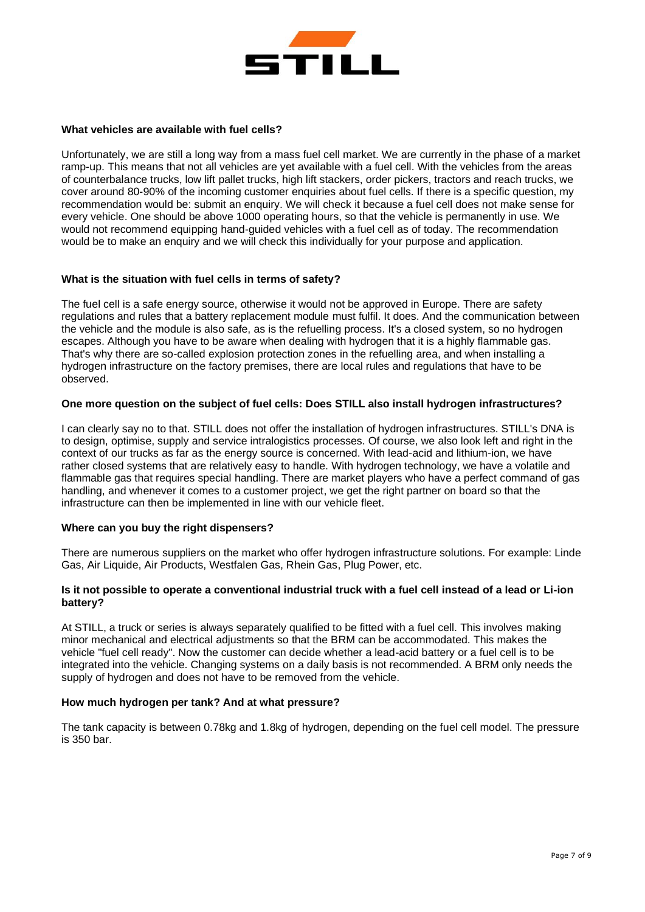

#### **What vehicles are available with fuel cells?**

Unfortunately, we are still a long way from a mass fuel cell market. We are currently in the phase of a market ramp-up. This means that not all vehicles are yet available with a fuel cell. With the vehicles from the areas of counterbalance trucks, low lift pallet trucks, high lift stackers, order pickers, tractors and reach trucks, we cover around 80-90% of the incoming customer enquiries about fuel cells. If there is a specific question, my recommendation would be: submit an enquiry. We will check it because a fuel cell does not make sense for every vehicle. One should be above 1000 operating hours, so that the vehicle is permanently in use. We would not recommend equipping hand-guided vehicles with a fuel cell as of today. The recommendation would be to make an enquiry and we will check this individually for your purpose and application.

## **What is the situation with fuel cells in terms of safety?**

The fuel cell is a safe energy source, otherwise it would not be approved in Europe. There are safety regulations and rules that a battery replacement module must fulfil. It does. And the communication between the vehicle and the module is also safe, as is the refuelling process. It's a closed system, so no hydrogen escapes. Although you have to be aware when dealing with hydrogen that it is a highly flammable gas. That's why there are so-called explosion protection zones in the refuelling area, and when installing a hydrogen infrastructure on the factory premises, there are local rules and regulations that have to be observed.

## **One more question on the subject of fuel cells: Does STILL also install hydrogen infrastructures?**

I can clearly say no to that. STILL does not offer the installation of hydrogen infrastructures. STILL's DNA is to design, optimise, supply and service intralogistics processes. Of course, we also look left and right in the context of our trucks as far as the energy source is concerned. With lead-acid and lithium-ion, we have rather closed systems that are relatively easy to handle. With hydrogen technology, we have a volatile and flammable gas that requires special handling. There are market players who have a perfect command of gas handling, and whenever it comes to a customer project, we get the right partner on board so that the infrastructure can then be implemented in line with our vehicle fleet.

## **Where can you buy the right dispensers?**

There are numerous suppliers on the market who offer hydrogen infrastructure solutions. For example: Linde Gas, Air Liquide, Air Products, Westfalen Gas, Rhein Gas, Plug Power, etc.

# **Is it not possible to operate a conventional industrial truck with a fuel cell instead of a lead or Li-ion battery?**

At STILL, a truck or series is always separately qualified to be fitted with a fuel cell. This involves making minor mechanical and electrical adjustments so that the BRM can be accommodated. This makes the vehicle "fuel cell ready". Now the customer can decide whether a lead-acid battery or a fuel cell is to be integrated into the vehicle. Changing systems on a daily basis is not recommended. A BRM only needs the supply of hydrogen and does not have to be removed from the vehicle.

## **How much hydrogen per tank? And at what pressure?**

The tank capacity is between 0.78kg and 1.8kg of hydrogen, depending on the fuel cell model. The pressure is 350 bar.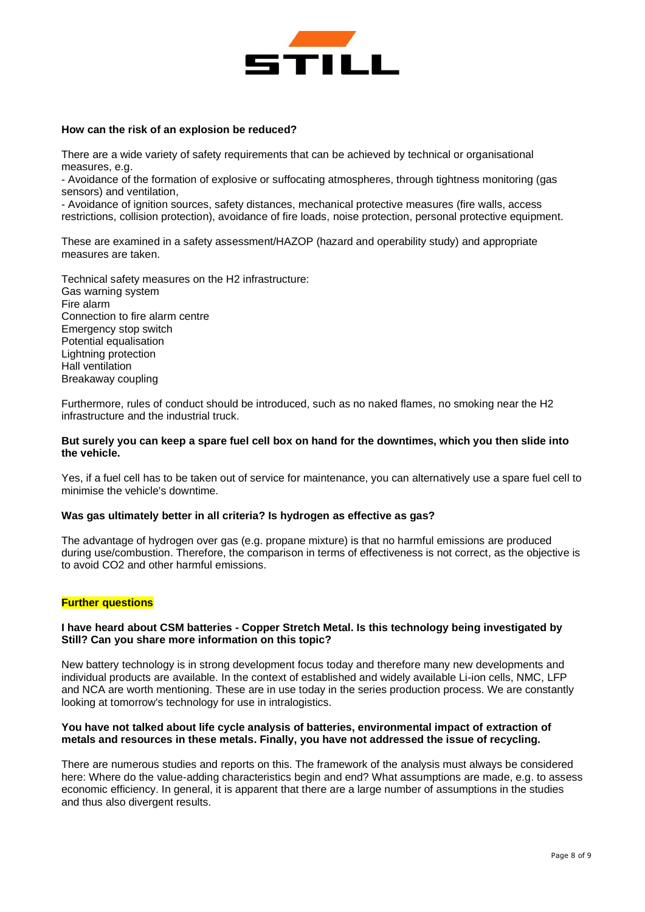

#### **How can the risk of an explosion be reduced?**

There are a wide variety of safety requirements that can be achieved by technical or organisational measures, e.g.

- Avoidance of the formation of explosive or suffocating atmospheres, through tightness monitoring (gas sensors) and ventilation,

- Avoidance of ignition sources, safety distances, mechanical protective measures (fire walls, access restrictions, collision protection), avoidance of fire loads, noise protection, personal protective equipment.

These are examined in a safety assessment/HAZOP (hazard and operability study) and appropriate measures are taken.

Technical safety measures on the H2 infrastructure: Gas warning system Fire alarm Connection to fire alarm centre Emergency stop switch Potential equalisation Lightning protection Hall ventilation Breakaway coupling

Furthermore, rules of conduct should be introduced, such as no naked flames, no smoking near the H2 infrastructure and the industrial truck.

## **But surely you can keep a spare fuel cell box on hand for the downtimes, which you then slide into the vehicle.**

Yes, if a fuel cell has to be taken out of service for maintenance, you can alternatively use a spare fuel cell to minimise the vehicle's downtime.

#### **Was gas ultimately better in all criteria? Is hydrogen as effective as gas?**

The advantage of hydrogen over gas (e.g. propane mixture) is that no harmful emissions are produced during use/combustion. Therefore, the comparison in terms of effectiveness is not correct, as the objective is to avoid CO2 and other harmful emissions.

# **Further questions**

## **I have heard about CSM batteries - Copper Stretch Metal. Is this technology being investigated by Still? Can you share more information on this topic?**

New battery technology is in strong development focus today and therefore many new developments and individual products are available. In the context of established and widely available Li-ion cells, NMC, LFP and NCA are worth mentioning. These are in use today in the series production process. We are constantly looking at tomorrow's technology for use in intralogistics.

## **You have not talked about life cycle analysis of batteries, environmental impact of extraction of metals and resources in these metals. Finally, you have not addressed the issue of recycling.**

There are numerous studies and reports on this. The framework of the analysis must always be considered here: Where do the value-adding characteristics begin and end? What assumptions are made, e.g. to assess economic efficiency. In general, it is apparent that there are a large number of assumptions in the studies and thus also divergent results.